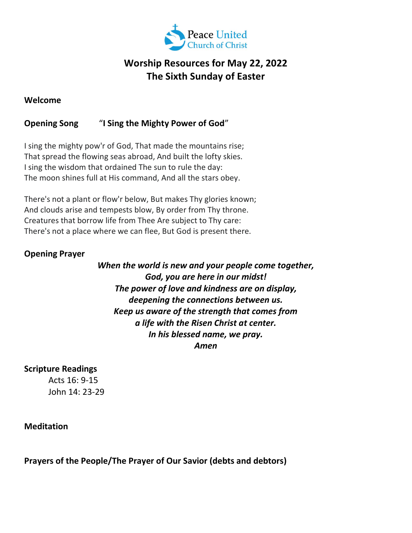

# Worship Resources for May 22, 2022 The Sixth Sunday of Easter

#### Welcome

## Opening Song "I Sing the Mighty Power of God"

I sing the mighty pow'r of God, That made the mountains rise; That spread the flowing seas abroad, And built the lofty skies. I sing the wisdom that ordained The sun to rule the day: The moon shines full at His command, And all the stars obey.

There's not a plant or flow'r below, But makes Thy glories known; And clouds arise and tempests blow, By order from Thy throne. Creatures that borrow life from Thee Are subject to Thy care: There's not a place where we can flee, But God is present there.

#### Opening Prayer

When the world is new and your people come together, God, you are here in our midst! The power of love and kindness are on display, deepening the connections between us. Keep us aware of the strength that comes from a life with the Risen Christ at center. In his blessed name, we pray. Amen

#### Scripture Readings

Acts 16: 9-15 John 14: 23-29

Meditation

Prayers of the People/The Prayer of Our Savior (debts and debtors)